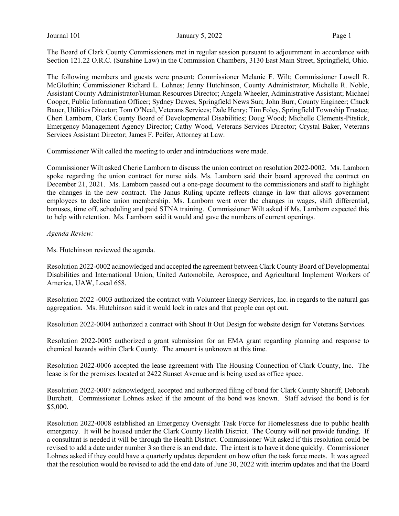The Board of Clark County Commissioners met in regular session pursuant to adjournment in accordance with Section 121.22 O.R.C. (Sunshine Law) in the Commission Chambers, 3130 East Main Street, Springfield, Ohio.

The following members and guests were present: Commissioner Melanie F. Wilt; Commissioner Lowell R. McGlothin; Commissioner Richard L. Lohnes; Jenny Hutchinson, County Administrator; Michelle R. Noble, Assistant County Administrator/Human Resources Director; Angela Wheeler, Administrative Assistant; Michael Cooper, Public Information Officer; Sydney Dawes, Springfield News Sun; John Burr, County Engineer; Chuck Bauer, Utilities Director; Tom O'Neal, Veterans Services; Dale Henry; Tim Foley, Springfield Township Trustee; Cheri Lamborn, Clark County Board of Developmental Disabilities; Doug Wood; Michelle Clements-Pitstick, Emergency Management Agency Director; Cathy Wood, Veterans Services Director; Crystal Baker, Veterans Services Assistant Director; James F. Peifer, Attorney at Law.

Commissioner Wilt called the meeting to order and introductions were made.

Commissioner Wilt asked Cherie Lamborn to discuss the union contract on resolution 2022-0002. Ms. Lamborn spoke regarding the union contract for nurse aids. Ms. Lamborn said their board approved the contract on December 21, 2021. Ms. Lamborn passed out a one-page document to the commissioners and staff to highlight the changes in the new contract. The Janus Ruling update reflects change in law that allows government employees to decline union membership. Ms. Lamborn went over the changes in wages, shift differential, bonuses, time off, scheduling and paid STNA training. Commissioner Wilt asked if Ms. Lamborn expected this to help with retention. Ms. Lamborn said it would and gave the numbers of current openings.

Agenda Review:

Ms. Hutchinson reviewed the agenda.

Resolution 2022-0002 acknowledged and accepted the agreement between Clark County Board of Developmental Disabilities and International Union, United Automobile, Aerospace, and Agricultural Implement Workers of America, UAW, Local 658.

Resolution 2022 -0003 authorized the contract with Volunteer Energy Services, Inc. in regards to the natural gas aggregation. Ms. Hutchinson said it would lock in rates and that people can opt out.

Resolution 2022-0004 authorized a contract with Shout It Out Design for website design for Veterans Services.

Resolution 2022-0005 authorized a grant submission for an EMA grant regarding planning and response to chemical hazards within Clark County. The amount is unknown at this time.

Resolution 2022-0006 accepted the lease agreement with The Housing Connection of Clark County, Inc. The lease is for the premises located at 2422 Sunset Avenue and is being used as office space.

Resolution 2022-0007 acknowledged, accepted and authorized filing of bond for Clark County Sheriff, Deborah Burchett. Commissioner Lohnes asked if the amount of the bond was known. Staff advised the bond is for \$5,000.

Resolution 2022-0008 established an Emergency Oversight Task Force for Homelessness due to public health emergency. It will be housed under the Clark County Health District. The County will not provide funding. If a consultant is needed it will be through the Health District. Commissioner Wilt asked if this resolution could be revised to add a date under number 3 so there is an end date. The intent is to have it done quickly. Commissioner Lohnes asked if they could have a quarterly updates dependent on how often the task force meets. It was agreed that the resolution would be revised to add the end date of June 30, 2022 with interim updates and that the Board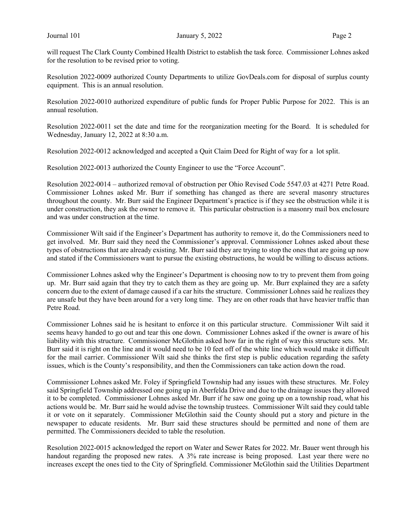will request The Clark County Combined Health District to establish the task force. Commissioner Lohnes asked for the resolution to be revised prior to voting.

Resolution 2022-0009 authorized County Departments to utilize GovDeals.com for disposal of surplus county equipment. This is an annual resolution.

Resolution 2022-0010 authorized expenditure of public funds for Proper Public Purpose for 2022. This is an annual resolution.

Resolution 2022-0011 set the date and time for the reorganization meeting for the Board. It is scheduled for Wednesday, January 12, 2022 at 8:30 a.m.

Resolution 2022-0012 acknowledged and accepted a Quit Claim Deed for Right of way for a lot split.

Resolution 2022-0013 authorized the County Engineer to use the "Force Account".

Resolution 2022-0014 – authorized removal of obstruction per Ohio Revised Code 5547.03 at 4271 Petre Road. Commissioner Lohnes asked Mr. Burr if something has changed as there are several masonry structures throughout the county. Mr. Burr said the Engineer Department's practice is if they see the obstruction while it is under construction, they ask the owner to remove it. This particular obstruction is a masonry mail box enclosure and was under construction at the time.

Commissioner Wilt said if the Engineer's Department has authority to remove it, do the Commissioners need to get involved. Mr. Burr said they need the Commissioner's approval. Commissioner Lohnes asked about these types of obstructions that are already existing. Mr. Burr said they are trying to stop the ones that are going up now and stated if the Commissioners want to pursue the existing obstructions, he would be willing to discuss actions.

Commissioner Lohnes asked why the Engineer's Department is choosing now to try to prevent them from going up. Mr. Burr said again that they try to catch them as they are going up. Mr. Burr explained they are a safety concern due to the extent of damage caused if a car hits the structure. Commissioner Lohnes said he realizes they are unsafe but they have been around for a very long time. They are on other roads that have heavier traffic than Petre Road.

Commissioner Lohnes said he is hesitant to enforce it on this particular structure. Commissioner Wilt said it seems heavy handed to go out and tear this one down. Commissioner Lohnes asked if the owner is aware of his liability with this structure. Commissioner McGlothin asked how far in the right of way this structure sets. Mr. Burr said it is right on the line and it would need to be 10 feet off of the white line which would make it difficult for the mail carrier. Commissioner Wilt said she thinks the first step is public education regarding the safety issues, which is the County's responsibility, and then the Commissioners can take action down the road.

Commissioner Lohnes asked Mr. Foley if Springfield Township had any issues with these structures. Mr. Foley said Springfield Township addressed one going up in Aberfelda Drive and due to the drainage issues they allowed it to be completed. Commissioner Lohnes asked Mr. Burr if he saw one going up on a township road, what his actions would be. Mr. Burr said he would advise the township trustees. Commissioner Wilt said they could table it or vote on it separately. Commissioner McGlothin said the County should put a story and picture in the newspaper to educate residents. Mr. Burr said these structures should be permitted and none of them are permitted. The Commissioners decided to table the resolution.

Resolution 2022-0015 acknowledged the report on Water and Sewer Rates for 2022. Mr. Bauer went through his handout regarding the proposed new rates. A 3% rate increase is being proposed. Last year there were no increases except the ones tied to the City of Springfield. Commissioner McGlothin said the Utilities Department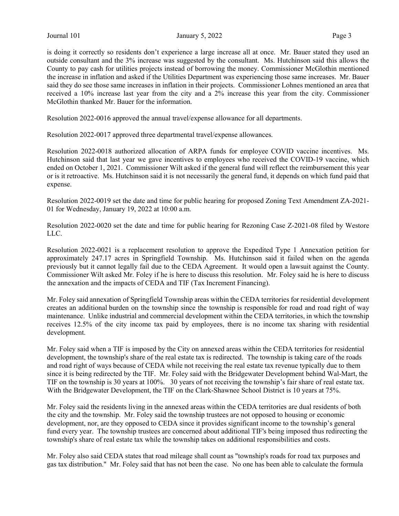is doing it correctly so residents don't experience a large increase all at once. Mr. Bauer stated they used an outside consultant and the 3% increase was suggested by the consultant. Ms. Hutchinson said this allows the County to pay cash for utilities projects instead of borrowing the money. Commissioner McGlothin mentioned the increase in inflation and asked if the Utilities Department was experiencing those same increases. Mr. Bauer said they do see those same increases in inflation in their projects. Commissioner Lohnes mentioned an area that received a 10% increase last year from the city and a 2% increase this year from the city. Commissioner McGlothin thanked Mr. Bauer for the information.

Resolution 2022-0016 approved the annual travel/expense allowance for all departments.

Resolution 2022-0017 approved three departmental travel/expense allowances.

Resolution 2022-0018 authorized allocation of ARPA funds for employee COVID vaccine incentives. Ms. Hutchinson said that last year we gave incentives to employees who received the COVID-19 vaccine, which ended on October 1, 2021. Commissioner Wilt asked if the general fund will reflect the reimbursement this year or is it retroactive. Ms. Hutchinson said it is not necessarily the general fund, it depends on which fund paid that expense.

Resolution 2022-0019 set the date and time for public hearing for proposed Zoning Text Amendment ZA-2021- 01 for Wednesday, January 19, 2022 at 10:00 a.m.

Resolution 2022-0020 set the date and time for public hearing for Rezoning Case Z-2021-08 filed by Westore LLC.

Resolution 2022-0021 is a replacement resolution to approve the Expedited Type 1 Annexation petition for approximately 247.17 acres in Springfield Township. Ms. Hutchinson said it failed when on the agenda previously but it cannot legally fail due to the CEDA Agreement. It would open a lawsuit against the County. Commissioner Wilt asked Mr. Foley if he is here to discuss this resolution. Mr. Foley said he is here to discuss the annexation and the impacts of CEDA and TIF (Tax Increment Financing).

Mr. Foley said annexation of Springfield Township areas within the CEDA territories for residential development creates an additional burden on the township since the township is responsible for road and road right of way maintenance. Unlike industrial and commercial development within the CEDA territories, in which the township receives 12.5% of the city income tax paid by employees, there is no income tax sharing with residential development.

Mr. Foley said when a TIF is imposed by the City on annexed areas within the CEDA territories for residential development, the township's share of the real estate tax is redirected. The township is taking care of the roads and road right of ways because of CEDA while not receiving the real estate tax revenue typically due to them since it is being redirected by the TIF. Mr. Foley said with the Bridgewater Development behind Wal-Mart, the TIF on the township is 30 years at 100%. 30 years of not receiving the township's fair share of real estate tax. With the Bridgewater Development, the TIF on the Clark-Shawnee School District is 10 years at 75%.

Mr. Foley said the residents living in the annexed areas within the CEDA territories are dual residents of both the city and the township. Mr. Foley said the township trustees are not opposed to housing or economic development, nor, are they opposed to CEDA since it provides significant income to the township's general fund every year. The township trustees are concerned about additional TIF's being imposed thus redirecting the township's share of real estate tax while the township takes on additional responsibilities and costs.

Mr. Foley also said CEDA states that road mileage shall count as "township's roads for road tax purposes and gas tax distribution." Mr. Foley said that has not been the case. No one has been able to calculate the formula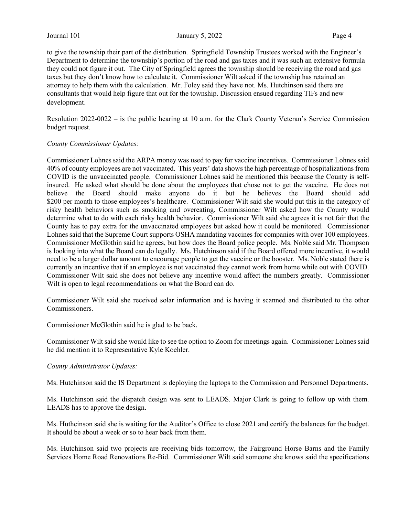to give the township their part of the distribution. Springfield Township Trustees worked with the Engineer's Department to determine the township's portion of the road and gas taxes and it was such an extensive formula they could not figure it out. The City of Springfield agrees the township should be receiving the road and gas taxes but they don't know how to calculate it. Commissioner Wilt asked if the township has retained an attorney to help them with the calculation. Mr. Foley said they have not. Ms. Hutchinson said there are consultants that would help figure that out for the township. Discussion ensued regarding TIFs and new development.

Resolution 2022-0022 – is the public hearing at 10 a.m. for the Clark County Veteran's Service Commission budget request.

#### County Commissioner Updates:

Commissioner Lohnes said the ARPA money was used to pay for vaccine incentives. Commissioner Lohnes said 40% of county employees are not vaccinated. This years' data shows the high percentage of hospitalizations from COVID is the unvaccinated people. Commissioner Lohnes said he mentioned this because the County is selfinsured. He asked what should be done about the employees that chose not to get the vaccine. He does not believe the Board should make anyone do it but he believes the Board should add \$200 per month to those employees's healthcare. Commissioner Wilt said she would put this in the category of risky health behaviors such as smoking and overeating. Commissioner Wilt asked how the County would determine what to do with each risky health behavior. Commissioner Wilt said she agrees it is not fair that the County has to pay extra for the unvaccinated employees but asked how it could be monitored. Commissioner Lohnes said that the Supreme Court supports OSHA mandating vaccines for companies with over 100 employees. Commissioner McGlothin said he agrees, but how does the Board police people. Ms. Noble said Mr. Thompson is looking into what the Board can do legally. Ms. Hutchinson said if the Board offered more incentive, it would need to be a larger dollar amount to encourage people to get the vaccine or the booster. Ms. Noble stated there is currently an incentive that if an employee is not vaccinated they cannot work from home while out with COVID. Commissioner Wilt said she does not believe any incentive would affect the numbers greatly. Commissioner Wilt is open to legal recommendations on what the Board can do.

Commissioner Wilt said she received solar information and is having it scanned and distributed to the other Commissioners.

Commissioner McGlothin said he is glad to be back.

Commissioner Wilt said she would like to see the option to Zoom for meetings again. Commissioner Lohnes said he did mention it to Representative Kyle Koehler.

#### County Administrator Updates:

Ms. Hutchinson said the IS Department is deploying the laptops to the Commission and Personnel Departments.

Ms. Hutchinson said the dispatch design was sent to LEADS. Major Clark is going to follow up with them. LEADS has to approve the design.

Ms. Huthcinson said she is waiting for the Auditor's Office to close 2021 and certify the balances for the budget. It should be about a week or so to hear back from them.

Ms. Hutchinson said two projects are receiving bids tomorrow, the Fairground Horse Barns and the Family Services Home Road Renovations Re-Bid. Commissioner Wilt said someone she knows said the specifications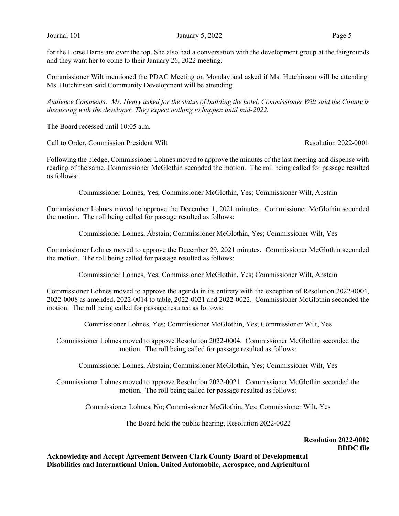for the Horse Barns are over the top. She also had a conversation with the development group at the fairgrounds and they want her to come to their January 26, 2022 meeting.

Commissioner Wilt mentioned the PDAC Meeting on Monday and asked if Ms. Hutchinson will be attending. Ms. Hutchinson said Community Development will be attending.

Audience Comments: Mr. Henry asked for the status of building the hotel. Commissioner Wilt said the County is discussing with the developer. They expect nothing to happen until mid-2022.

The Board recessed until 10:05 a.m.

Call to Order, Commission President Wilt **Resolution 2022-0001** Resolution 2022-0001

Following the pledge, Commissioner Lohnes moved to approve the minutes of the last meeting and dispense with reading of the same. Commissioner McGlothin seconded the motion. The roll being called for passage resulted as follows:

Commissioner Lohnes, Yes; Commissioner McGlothin, Yes; Commissioner Wilt, Abstain

Commissioner Lohnes moved to approve the December 1, 2021 minutes. Commissioner McGlothin seconded the motion. The roll being called for passage resulted as follows:

Commissioner Lohnes, Abstain; Commissioner McGlothin, Yes; Commissioner Wilt, Yes

Commissioner Lohnes moved to approve the December 29, 2021 minutes. Commissioner McGlothin seconded the motion. The roll being called for passage resulted as follows:

Commissioner Lohnes, Yes; Commissioner McGlothin, Yes; Commissioner Wilt, Abstain

Commissioner Lohnes moved to approve the agenda in its entirety with the exception of Resolution 2022-0004, 2022-0008 as amended, 2022-0014 to table, 2022-0021 and 2022-0022. Commissioner McGlothin seconded the motion. The roll being called for passage resulted as follows:

Commissioner Lohnes, Yes; Commissioner McGlothin, Yes; Commissioner Wilt, Yes

Commissioner Lohnes moved to approve Resolution 2022-0004. Commissioner McGlothin seconded the motion. The roll being called for passage resulted as follows:

Commissioner Lohnes, Abstain; Commissioner McGlothin, Yes; Commissioner Wilt, Yes

Commissioner Lohnes moved to approve Resolution 2022-0021. Commissioner McGlothin seconded the motion. The roll being called for passage resulted as follows:

Commissioner Lohnes, No; Commissioner McGlothin, Yes; Commissioner Wilt, Yes

The Board held the public hearing, Resolution 2022-0022

#### Resolution 2022-0002 BDDC file

Acknowledge and Accept Agreement Between Clark County Board of Developmental Disabilities and International Union, United Automobile, Aerospace, and Agricultural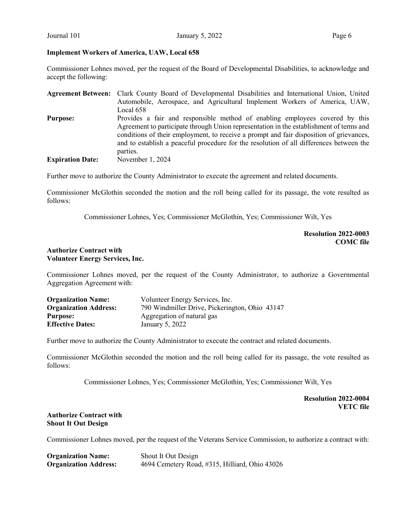#### Implement Workers of America, UAW, Local 658

Commissioner Lohnes moved, per the request of the Board of Developmental Disabilities, to acknowledge and accept the following:

|                         | Agreement Between: Clark County Board of Developmental Disabilities and International Union, United |
|-------------------------|-----------------------------------------------------------------------------------------------------|
|                         | Automobile, Aerospace, and Agricultural Implement Workers of America, UAW,                          |
|                         | Local 658                                                                                           |
| <b>Purpose:</b>         | Provides a fair and responsible method of enabling employees covered by this                        |
|                         | Agreement to participate through Union representation in the establishment of terms and             |
|                         | conditions of their employment, to receive a prompt and fair disposition of grievances,             |
|                         | and to establish a peaceful procedure for the resolution of all differences between the             |
|                         | parties.                                                                                            |
| <b>Expiration Date:</b> | November 1, 2024                                                                                    |

Further move to authorize the County Administrator to execute the agreement and related documents.

Commissioner McGlothin seconded the motion and the roll being called for its passage, the vote resulted as follows:

Commissioner Lohnes, Yes; Commissioner McGlothin, Yes; Commissioner Wilt, Yes

Resolution 2022-0003 COMC file

#### Authorize Contract with Volunteer Energy Services, Inc.

Commissioner Lohnes moved, per the request of the County Administrator, to authorize a Governmental Aggregation Agreement with:

| <b>Organization Name:</b>    | Volunteer Energy Services, Inc.                |
|------------------------------|------------------------------------------------|
| <b>Organization Address:</b> | 790 Windmiller Drive, Pickerington, Ohio 43147 |
| <b>Purpose:</b>              | Aggregation of natural gas                     |
| <b>Effective Dates:</b>      | January 5, 2022                                |

Further move to authorize the County Administrator to execute the contract and related documents.

Commissioner McGlothin seconded the motion and the roll being called for its passage, the vote resulted as follows:

Commissioner Lohnes, Yes; Commissioner McGlothin, Yes; Commissioner Wilt, Yes

Resolution 2022-0004 VETC file

#### Authorize Contract with Shout It Out Design

Commissioner Lohnes moved, per the request of the Veterans Service Commission, to authorize a contract with:

| <b>Organization Name:</b>    | Shout It Out Design                            |
|------------------------------|------------------------------------------------|
| <b>Organization Address:</b> | 4694 Cemetery Road, #315, Hilliard, Ohio 43026 |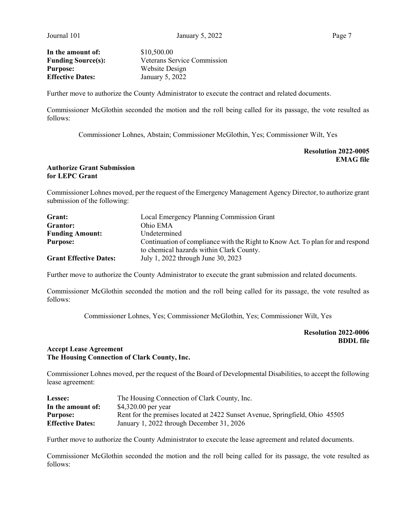**In the amount of:** \$10,500.00 **Purpose:** Website Design<br> **Effective Dates:** January 5, 2022

Funding Source(s): Veterans Service Commission January 5, 2022

Further move to authorize the County Administrator to execute the contract and related documents.

Commissioner McGlothin seconded the motion and the roll being called for its passage, the vote resulted as follows:

Commissioner Lohnes, Abstain; Commissioner McGlothin, Yes; Commissioner Wilt, Yes

### Resolution 2022-0005 EMAG file

## Authorize Grant Submission for LEPC Grant

Commissioner Lohnes moved, per the request of the Emergency Management Agency Director, to authorize grant submission of the following:

| Grant:                        | Local Emergency Planning Commission Grant                                                                                  |  |
|-------------------------------|----------------------------------------------------------------------------------------------------------------------------|--|
| Grantor:                      | Ohio EMA                                                                                                                   |  |
| <b>Funding Amount:</b>        | Undetermined                                                                                                               |  |
| <b>Purpose:</b>               | Continuation of compliance with the Right to Know Act. To plan for and respond<br>to chemical hazards within Clark County. |  |
| <b>Grant Effective Dates:</b> | July 1, 2022 through June 30, 2023                                                                                         |  |

Further move to authorize the County Administrator to execute the grant submission and related documents.

Commissioner McGlothin seconded the motion and the roll being called for its passage, the vote resulted as follows:

Commissioner Lohnes, Yes; Commissioner McGlothin, Yes; Commissioner Wilt, Yes

Resolution 2022-0006 BDDL file

# Accept Lease Agreement The Housing Connection of Clark County, Inc.

Commissioner Lohnes moved, per the request of the Board of Developmental Disabilities, to accept the following lease agreement:

| Lessee:                 | The Housing Connection of Clark County, Inc.                                 |
|-------------------------|------------------------------------------------------------------------------|
| In the amount of:       | \$4,320.00 per year                                                          |
| <b>Purpose:</b>         | Rent for the premises located at 2422 Sunset Avenue, Springfield, Ohio 45505 |
| <b>Effective Dates:</b> | January 1, 2022 through December 31, 2026                                    |

Further move to authorize the County Administrator to execute the lease agreement and related documents.

Commissioner McGlothin seconded the motion and the roll being called for its passage, the vote resulted as follows: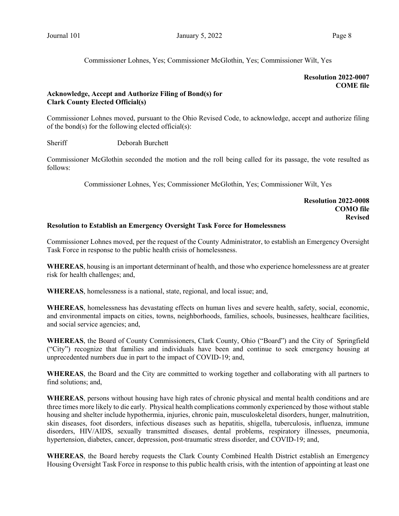Commissioner Lohnes, Yes; Commissioner McGlothin, Yes; Commissioner Wilt, Yes

# Resolution 2022-0007 COME file

# Acknowledge, Accept and Authorize Filing of Bond(s) for Clark County Elected Official(s)

Commissioner Lohnes moved, pursuant to the Ohio Revised Code, to acknowledge, accept and authorize filing of the bond(s) for the following elected official(s):

Sheriff Deborah Burchett

Commissioner McGlothin seconded the motion and the roll being called for its passage, the vote resulted as follows:

Commissioner Lohnes, Yes; Commissioner McGlothin, Yes; Commissioner Wilt, Yes

#### Resolution 2022-0008 COMO file Revised

# Resolution to Establish an Emergency Oversight Task Force for Homelessness

Commissioner Lohnes moved, per the request of the County Administrator, to establish an Emergency Oversight Task Force in response to the public health crisis of homelessness.

WHEREAS, housing is an important determinant of health, and those who experience homelessness are at greater risk for health challenges; and,

WHEREAS, homelessness is a national, state, regional, and local issue; and,

WHEREAS, homelessness has devastating effects on human lives and severe health, safety, social, economic, and environmental impacts on cities, towns, neighborhoods, families, schools, businesses, healthcare facilities, and social service agencies; and,

WHEREAS, the Board of County Commissioners, Clark County, Ohio ("Board") and the City of Springfield ("City") recognize that families and individuals have been and continue to seek emergency housing at unprecedented numbers due in part to the impact of COVID-19; and,

WHEREAS, the Board and the City are committed to working together and collaborating with all partners to find solutions; and,

WHEREAS, persons without housing have high rates of chronic physical and mental health conditions and are three times more likely to die early. Physical health complications commonly experienced by those without stable housing and shelter include hypothermia, injuries, chronic pain, musculoskeletal disorders, hunger, malnutrition, skin diseases, foot disorders, infectious diseases such as hepatitis, shigella, tuberculosis, influenza, immune disorders, HIV/AIDS, sexually transmitted diseases, dental problems, respiratory illnesses, pneumonia, hypertension, diabetes, cancer, depression, post-traumatic stress disorder, and COVID-19; and,

WHEREAS, the Board hereby requests the Clark County Combined Health District establish an Emergency Housing Oversight Task Force in response to this public health crisis, with the intention of appointing at least one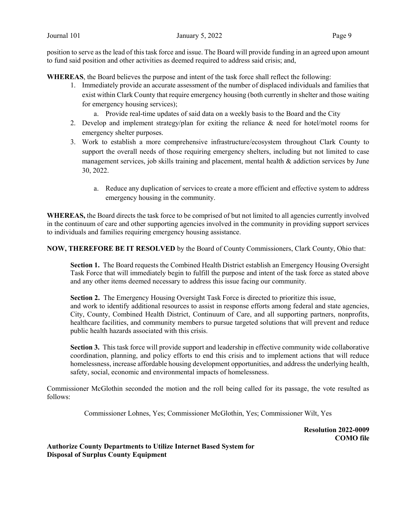position to serve as the lead of this task force and issue. The Board will provide funding in an agreed upon amount to fund said position and other activities as deemed required to address said crisis; and,

WHEREAS, the Board believes the purpose and intent of the task force shall reflect the following:

- 1. Immediately provide an accurate assessment of the number of displaced individuals and families that exist within Clark County that require emergency housing (both currently in shelter and those waiting for emergency housing services);
	- a. Provide real-time updates of said data on a weekly basis to the Board and the City
- 2. Develop and implement strategy/plan for exiting the reliance  $\&$  need for hotel/motel rooms for emergency shelter purposes.
- 3. Work to establish a more comprehensive infrastructure/ecosystem throughout Clark County to support the overall needs of those requiring emergency shelters, including but not limited to case management services, job skills training and placement, mental health & addiction services by June 30, 2022.
	- a. Reduce any duplication of services to create a more efficient and effective system to address emergency housing in the community.

WHEREAS, the Board directs the task force to be comprised of but not limited to all agencies currently involved in the continuum of care and other supporting agencies involved in the community in providing support services to individuals and families requiring emergency housing assistance.

NOW, THEREFORE BE IT RESOLVED by the Board of County Commissioners, Clark County, Ohio that:

Section 1. The Board requests the Combined Health District establish an Emergency Housing Oversight Task Force that will immediately begin to fulfill the purpose and intent of the task force as stated above and any other items deemed necessary to address this issue facing our community.

Section 2. The Emergency Housing Oversight Task Force is directed to prioritize this issue, and work to identify additional resources to assist in response efforts among federal and state agencies, City, County, Combined Health District, Continuum of Care, and all supporting partners, nonprofits, healthcare facilities, and community members to pursue targeted solutions that will prevent and reduce public health hazards associated with this crisis.

Section 3. This task force will provide support and leadership in effective community wide collaborative coordination, planning, and policy efforts to end this crisis and to implement actions that will reduce homelessness, increase affordable housing development opportunities, and address the underlying health, safety, social, economic and environmental impacts of homelessness.

Commissioner McGlothin seconded the motion and the roll being called for its passage, the vote resulted as follows:

Commissioner Lohnes, Yes; Commissioner McGlothin, Yes; Commissioner Wilt, Yes

Resolution 2022-0009 COMO file

Authorize County Departments to Utilize Internet Based System for Disposal of Surplus County Equipment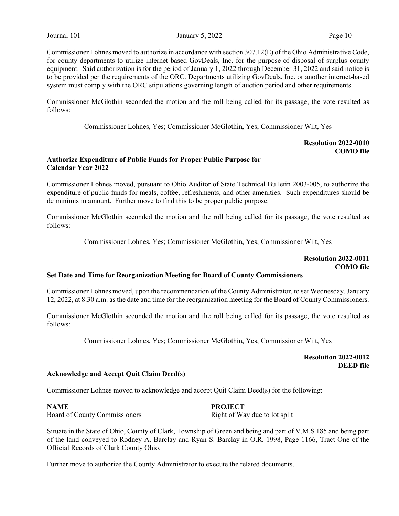Commissioner Lohnes moved to authorize in accordance with section 307.12(E) of the Ohio Administrative Code, for county departments to utilize internet based GovDeals, Inc. for the purpose of disposal of surplus county equipment. Said authorization is for the period of January 1, 2022 through December 31, 2022 and said notice is to be provided per the requirements of the ORC. Departments utilizing GovDeals, Inc. or another internet-based system must comply with the ORC stipulations governing length of auction period and other requirements.

Commissioner McGlothin seconded the motion and the roll being called for its passage, the vote resulted as follows:

Commissioner Lohnes, Yes; Commissioner McGlothin, Yes; Commissioner Wilt, Yes

# Resolution 2022-0010 COMO file

#### Authorize Expenditure of Public Funds for Proper Public Purpose for Calendar Year 2022

Commissioner Lohnes moved, pursuant to Ohio Auditor of State Technical Bulletin 2003-005, to authorize the expenditure of public funds for meals, coffee, refreshments, and other amenities. Such expenditures should be de minimis in amount. Further move to find this to be proper public purpose.

Commissioner McGlothin seconded the motion and the roll being called for its passage, the vote resulted as follows:

Commissioner Lohnes, Yes; Commissioner McGlothin, Yes; Commissioner Wilt, Yes

# Resolution 2022-0011 COMO file

# Set Date and Time for Reorganization Meeting for Board of County Commissioners

Commissioner Lohnes moved, upon the recommendation of the County Administrator, to set Wednesday, January 12, 2022, at 8:30 a.m. as the date and time for the reorganization meeting for the Board of County Commissioners.

Commissioner McGlothin seconded the motion and the roll being called for its passage, the vote resulted as follows:

Commissioner Lohnes, Yes; Commissioner McGlothin, Yes; Commissioner Wilt, Yes

Resolution 2022-0012 DEED file

#### Acknowledge and Accept Quit Claim Deed(s)

Commissioner Lohnes moved to acknowledge and accept Quit Claim Deed(s) for the following:

NAME PROJECT Board of County Commissioners Right of Way due to lot split

Situate in the State of Ohio, County of Clark, Township of Green and being and part of V.M.S 185 and being part of the land conveyed to Rodney A. Barclay and Ryan S. Barclay in O.R. 1998, Page 1166, Tract One of the Official Records of Clark County Ohio.

Further move to authorize the County Administrator to execute the related documents.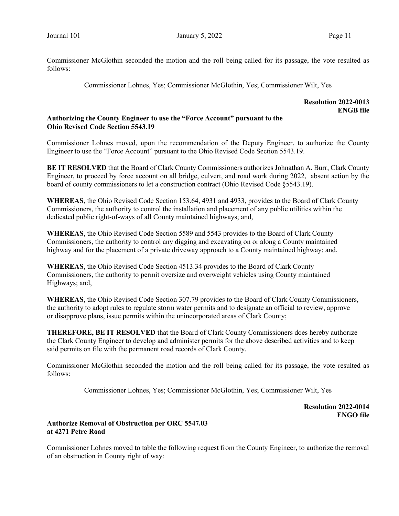Commissioner McGlothin seconded the motion and the roll being called for its passage, the vote resulted as follows:

Commissioner Lohnes, Yes; Commissioner McGlothin, Yes; Commissioner Wilt, Yes

#### Resolution 2022-0013 ENGB file

# Authorizing the County Engineer to use the "Force Account" pursuant to the Ohio Revised Code Section 5543.19

Commissioner Lohnes moved, upon the recommendation of the Deputy Engineer, to authorize the County Engineer to use the "Force Account" pursuant to the Ohio Revised Code Section 5543.19.

BE IT RESOLVED that the Board of Clark County Commissioners authorizes Johnathan A. Burr, Clark County Engineer, to proceed by force account on all bridge, culvert, and road work during 2022, absent action by the board of county commissioners to let a construction contract (Ohio Revised Code §5543.19).

WHEREAS, the Ohio Revised Code Section 153.64, 4931 and 4933, provides to the Board of Clark County Commissioners, the authority to control the installation and placement of any public utilities within the dedicated public right-of-ways of all County maintained highways; and,

WHEREAS, the Ohio Revised Code Section 5589 and 5543 provides to the Board of Clark County Commissioners, the authority to control any digging and excavating on or along a County maintained highway and for the placement of a private driveway approach to a County maintained highway; and,

WHEREAS, the Ohio Revised Code Section 4513.34 provides to the Board of Clark County Commissioners, the authority to permit oversize and overweight vehicles using County maintained Highways; and,

WHEREAS, the Ohio Revised Code Section 307.79 provides to the Board of Clark County Commissioners, the authority to adopt rules to regulate storm water permits and to designate an official to review, approve or disapprove plans, issue permits within the unincorporated areas of Clark County;

THEREFORE, BE IT RESOLVED that the Board of Clark County Commissioners does hereby authorize the Clark County Engineer to develop and administer permits for the above described activities and to keep said permits on file with the permanent road records of Clark County.

Commissioner McGlothin seconded the motion and the roll being called for its passage, the vote resulted as follows:

Commissioner Lohnes, Yes; Commissioner McGlothin, Yes; Commissioner Wilt, Yes

Resolution 2022-0014 ENGO file

# Authorize Removal of Obstruction per ORC 5547.03 at 4271 Petre Road

Commissioner Lohnes moved to table the following request from the County Engineer, to authorize the removal of an obstruction in County right of way: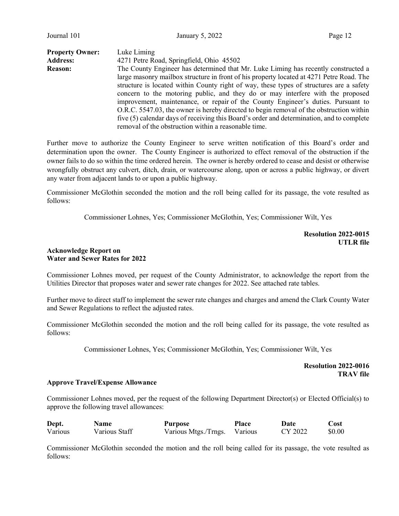| <b>Property Owner:</b> | Luke Liming                                                                               |  |  |
|------------------------|-------------------------------------------------------------------------------------------|--|--|
| <b>Address:</b>        | 4271 Petre Road, Springfield, Ohio 45502                                                  |  |  |
| <b>Reason:</b>         | The County Engineer has determined that Mr. Luke Liming has recently constructed a        |  |  |
|                        | large masonry mailbox structure in front of his property located at 4271 Petre Road. The  |  |  |
|                        | structure is located within County right of way, these types of structures are a safety   |  |  |
|                        | concern to the motoring public, and they do or may interfere with the proposed            |  |  |
|                        | improvement, maintenance, or repair of the County Engineer's duties. Pursuant to          |  |  |
|                        | O.R.C. 5547.03, the owner is hereby directed to begin removal of the obstruction within   |  |  |
|                        | five (5) calendar days of receiving this Board's order and determination, and to complete |  |  |
|                        | removal of the obstruction within a reasonable time.                                      |  |  |

Further move to authorize the County Engineer to serve written notification of this Board's order and determination upon the owner. The County Engineer is authorized to effect removal of the obstruction if the owner fails to do so within the time ordered herein. The owner is hereby ordered to cease and desist or otherwise wrongfully obstruct any culvert, ditch, drain, or watercourse along, upon or across a public highway, or divert any water from adjacent lands to or upon a public highway.

Commissioner McGlothin seconded the motion and the roll being called for its passage, the vote resulted as follows:

Commissioner Lohnes, Yes; Commissioner McGlothin, Yes; Commissioner Wilt, Yes

Resolution 2022-0015 UTLR file

#### Acknowledge Report on Water and Sewer Rates for 2022

Commissioner Lohnes moved, per request of the County Administrator, to acknowledge the report from the Utilities Director that proposes water and sewer rate changes for 2022. See attached rate tables.

Further move to direct staff to implement the sewer rate changes and charges and amend the Clark County Water and Sewer Regulations to reflect the adjusted rates.

Commissioner McGlothin seconded the motion and the roll being called for its passage, the vote resulted as follows:

Commissioner Lohnes, Yes; Commissioner McGlothin, Yes; Commissioner Wilt, Yes

Resolution 2022-0016 TRAV file

#### Approve Travel/Expense Allowance

Commissioner Lohnes moved, per the request of the following Department Director(s) or Elected Official(s) to approve the following travel allowances:

| Dept.   | <b>Name</b>   | Purpose              | Place   | Date    | ∵ost   |
|---------|---------------|----------------------|---------|---------|--------|
| Various | Various Staff | Various Mtgs./Trngs. | Various | CY 2022 | \$0.00 |

Commissioner McGlothin seconded the motion and the roll being called for its passage, the vote resulted as follows: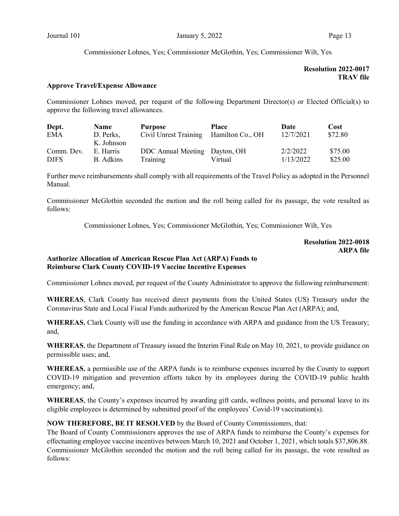Commissioner Lohnes, Yes; Commissioner McGlothin, Yes; Commissioner Wilt, Yes

# Resolution 2022-0017 TRAV file

#### Approve Travel/Expense Allowance

Commissioner Lohnes moved, per request of the following Department Director(s) or Elected Official(s) to approve the following travel allowances.

| Dept.       | <b>Name</b> | <b>Purpose</b>                | <b>Place</b>     | Date      | Cost    |
|-------------|-------------|-------------------------------|------------------|-----------|---------|
| <b>EMA</b>  | D. Perks,   | Civil Unrest Training         | Hamilton Co., OH | 12/7/2021 | \$72.80 |
|             | K. Johnson  |                               |                  |           |         |
| Comm. Dev.  | E. Harris   | DDC Annual Meeting Dayton, OH |                  | 2/2/2022  | \$75.00 |
| <b>DJFS</b> | B. Adkins   | Training                      | Virtual          | 1/13/2022 | \$25.00 |

Further move reimbursements shall comply with all requirements of the Travel Policy as adopted in the Personnel Manual.

Commissioner McGlothin seconded the motion and the roll being called for its passage, the vote resulted as follows:

Commissioner Lohnes, Yes; Commissioner McGlothin, Yes; Commissioner Wilt, Yes

#### Resolution 2022-0018 ARPA file

# Authorize Allocation of American Rescue Plan Act (ARPA) Funds to Reimburse Clark County COVID-19 Vaccine Incentive Expenses

Commissioner Lohnes moved, per request of the County Administrator to approve the following reimbursement:

WHEREAS, Clark County has received direct payments from the United States (US) Treasury under the Coronavirus State and Local Fiscal Funds authorized by the American Rescue Plan Act (ARPA); and,

WHEREAS, Clark County will use the funding in accordance with ARPA and guidance from the US Treasury; and,

WHEREAS, the Department of Treasury issued the Interim Final Rule on May 10, 2021, to provide guidance on permissible uses; and,

WHEREAS, a permissible use of the ARPA funds is to reimburse expenses incurred by the County to support COVID-19 mitigation and prevention efforts taken by its employees during the COVID-19 public health emergency; and,

WHEREAS, the County's expenses incurred by awarding gift cards, wellness points, and personal leave to its eligible employees is determined by submitted proof of the employees' Covid-19 vaccination(s).

#### NOW THEREFORE, BE IT RESOLVED by the Board of County Commissioners, that:

The Board of County Commissioners approves the use of ARPA funds to reimburse the County's expenses for effectuating employee vaccine incentives between March 10, 2021 and October 1, 2021, which totals \$37,806.88. Commissioner McGlothin seconded the motion and the roll being called for its passage, the vote resulted as follows: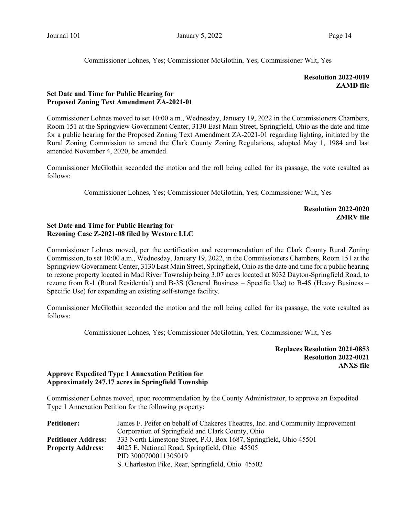Commissioner Lohnes, Yes; Commissioner McGlothin, Yes; Commissioner Wilt, Yes

## Resolution 2022-0019 ZAMD file

# Set Date and Time for Public Hearing for Proposed Zoning Text Amendment ZA-2021-01

Commissioner Lohnes moved to set 10:00 a.m., Wednesday, January 19, 2022 in the Commissioners Chambers, Room 151 at the Springview Government Center, 3130 East Main Street, Springfield, Ohio as the date and time for a public hearing for the Proposed Zoning Text Amendment ZA-2021-01 regarding lighting, initiated by the Rural Zoning Commission to amend the Clark County Zoning Regulations, adopted May 1, 1984 and last amended November 4, 2020, be amended.

Commissioner McGlothin seconded the motion and the roll being called for its passage, the vote resulted as follows:

Commissioner Lohnes, Yes; Commissioner McGlothin, Yes; Commissioner Wilt, Yes

Resolution 2022-0020 ZMRV file

#### Set Date and Time for Public Hearing for Rezoning Case Z-2021-08 filed by Westore LLC

Commissioner Lohnes moved, per the certification and recommendation of the Clark County Rural Zoning Commission, to set 10:00 a.m., Wednesday, January 19, 2022, in the Commissioners Chambers, Room 151 at the Springview Government Center, 3130 East Main Street, Springfield, Ohio as the date and time for a public hearing to rezone property located in Mad River Township being 3.07 acres located at 8032 Dayton-Springfield Road, to rezone from R-1 (Rural Residential) and B-3S (General Business – Specific Use) to B-4S (Heavy Business – Specific Use) for expanding an existing self-storage facility.

Commissioner McGlothin seconded the motion and the roll being called for its passage, the vote resulted as follows:

Commissioner Lohnes, Yes; Commissioner McGlothin, Yes; Commissioner Wilt, Yes

Replaces Resolution 2021-0853 Resolution 2022-0021 ANXS file

# Approve Expedited Type 1 Annexation Petition for Approximately 247.17 acres in Springfield Township

Commissioner Lohnes moved, upon recommendation by the County Administrator, to approve an Expedited Type 1 Annexation Petition for the following property:

| <b>Petitioner:</b>         | James F. Peifer on behalf of Chakeres Theatres, Inc. and Community Improvement |  |  |  |
|----------------------------|--------------------------------------------------------------------------------|--|--|--|
|                            | Corporation of Springfield and Clark County, Ohio                              |  |  |  |
| <b>Petitioner Address:</b> | 333 North Limestone Street, P.O. Box 1687, Springfield, Ohio 45501             |  |  |  |
| <b>Property Address:</b>   | 4025 E. National Road, Springfield, Ohio 45505                                 |  |  |  |
|                            | PID 3000700011305019                                                           |  |  |  |
|                            | S. Charleston Pike, Rear, Springfield, Ohio 45502                              |  |  |  |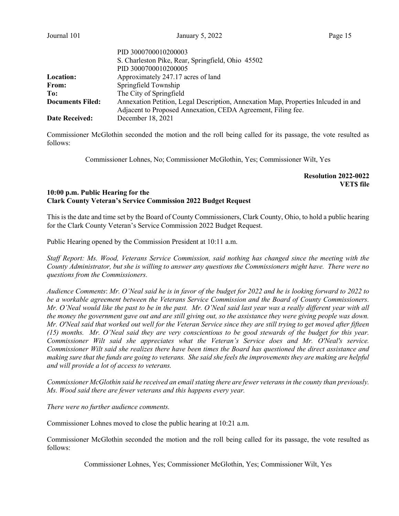|                         | PID 3000700010200003<br>S. Charleston Pike, Rear, Springfield, Ohio 45502<br>PID 3000700010200005 |
|-------------------------|---------------------------------------------------------------------------------------------------|
| Location:               | Approximately 247.17 acres of land                                                                |
| From:                   | Springfield Township                                                                              |
| To:                     | The City of Springfield                                                                           |
| <b>Documents Filed:</b> | Annexation Petition, Legal Description, Annexation Map, Properties Inlcuded in and                |
|                         | Adjacent to Proposed Annexation, CEDA Agreement, Filing fee.                                      |
| <b>Date Received:</b>   | December 18, 2021                                                                                 |

Commissioner McGlothin seconded the motion and the roll being called for its passage, the vote resulted as follows:

Commissioner Lohnes, No; Commissioner McGlothin, Yes; Commissioner Wilt, Yes

# Resolution 2022-0022 **VETS** file

# 10:00 p.m. Public Hearing for the Clark County Veteran's Service Commission 2022 Budget Request

This is the date and time set by the Board of County Commissioners, Clark County, Ohio, to hold a public hearing for the Clark County Veteran's Service Commission 2022 Budget Request.

Public Hearing opened by the Commission President at 10:11 a.m.

Staff Report: Ms. Wood, Veterans Service Commission, said nothing has changed since the meeting with the County Administrator, but she is willing to answer any questions the Commissioners might have. There were no questions from the Commissioners.

Audience Comments: Mr. O'Neal said he is in favor of the budget for 2022 and he is looking forward to 2022 to be a workable agreement between the Veterans Service Commission and the Board of County Commissioners. Mr. O'Neal would like the past to be in the past. Mr. O'Neal said last year was a really different year with all the money the government gave out and are still giving out, so the assistance they were giving people was down. Mr. O'Neal said that worked out well for the Veteran Service since they are still trying to get moved after fifteen (15) months. Mr. O'Neal said they are very conscientious to be good stewards of the budget for this year. Commissioner Wilt said she appreciates what the Veteran's Service does and Mr. O'Neal's service. Commissioner Wilt said she realizes there have been times the Board has questioned the direct assistance and making sure that the funds are going to veterans. She said she feels the improvements they are making are helpful and will provide a lot of access to veterans.

Commissioner McGlothin said he received an email stating there are fewer veterans in the county than previously. Ms. Wood said there are fewer veterans and this happens every year.

There were no further audience comments.

Commissioner Lohnes moved to close the public hearing at 10:21 a.m.

Commissioner McGlothin seconded the motion and the roll being called for its passage, the vote resulted as follows:

Commissioner Lohnes, Yes; Commissioner McGlothin, Yes; Commissioner Wilt, Yes